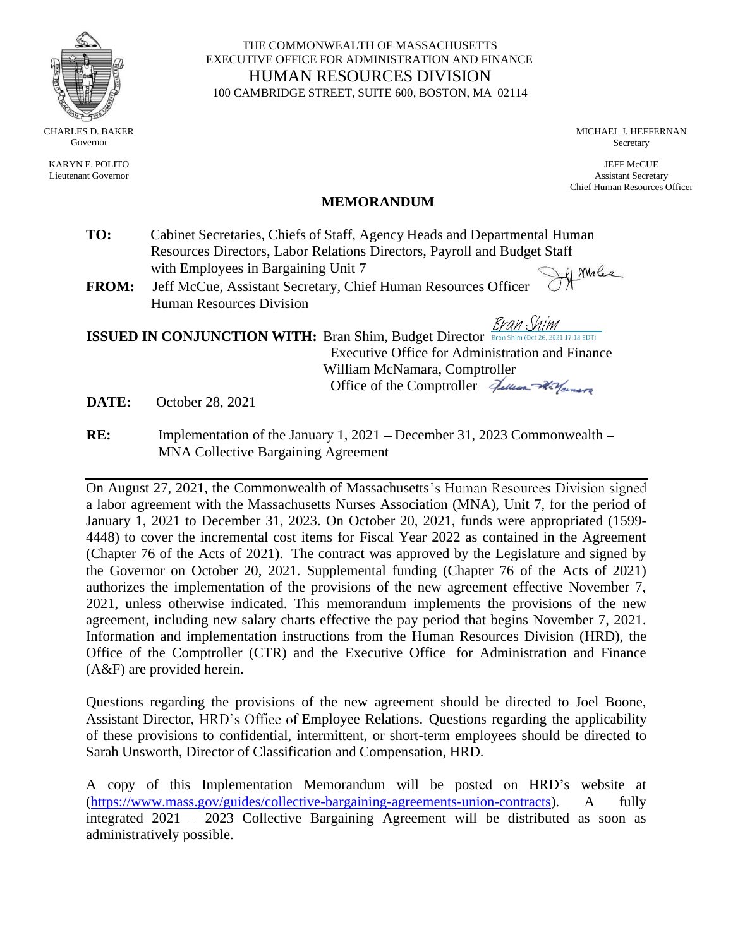

KARYN E. POLITO Lieutenant Governor

THE COMMONWEALTH OF MASSACHUSETTS EXECUTIVE OFFICE FOR ADMINISTRATION AND FINANCE HUMAN RESOURCES DIVISION 100 CAMBRIDGE STREET, SUITE 600, BOSTON, MA 02114

> MICHAEL J. HEFFERNAN Secretary

JEFF McCUE Assistant Secretary Chief Human Resources Officer

#### **MEMORANDUM**

- **TO:** Cabinet Secretaries, Chiefs of Staff, Agency Heads and Departmental Human Resources Directors, Labor Relations Directors, Payroll and Budget Staff Af Molec with Employees in Bargaining Unit 7
- **FROM:** Jeff McCue, Assistant Secretary, Chief Human Resources Officer Human Resources Division

<u>Bran Shim</u>

**ISSUED IN CONJUNCTION WITH:** Bran Shim, Budget Director **Bran Shim (Oct 26**) 021 17:18 EDT) Executive Office for Administration and Finance William McNamara, Comptroller Office of the Comptroller Zullian Warran

**DATE:** October 28, 2021

**RE:** Implementation of the January 1, 2021 – December 31, 2023 Commonwealth – MNA Collective Bargaining Agreement

On August 27, 2021, the Commonwealth of Massachusetts's Human Resources Division signed a labor agreement with the Massachusetts Nurses Association (MNA), Unit 7, for the period of January 1, 2021 to December 31, 2023. On October 20, 2021, funds were appropriated (1599- 4448) to cover the incremental cost items for Fiscal Year 2022 as contained in the Agreement (Chapter 76 of the Acts of 2021). The contract was approved by the Legislature and signed by the Governor on October 20, 2021. Supplemental funding (Chapter 76 of the Acts of 2021) authorizes the implementation of the provisions of the new agreement effective November 7, 2021, unless otherwise indicated. This memorandum implements the provisions of the new agreement, including new salary charts effective the pay period that begins November 7, 2021. Information and implementation instructions from the Human Resources Division (HRD), the Office of the Comptroller (CTR) and the Executive Office for Administration and Finance (A&F) are provided herein.

Questions regarding the provisions of the new agreement should be directed to Joel Boone, Assistant Director, HRD's Office of Employee Relations. Questions regarding the applicability of these provisions to confidential, intermittent, or short-term employees should be directed to Sarah Unsworth, Director of Classification and Compensation, HRD.

A copy of this Implementation Memorandum will be posted on HRD's website at [\(https://www.mass.gov/guides/collective-bargaining-agreements-union-contracts\)](https://www.mass.gov/guides/collective-bargaining-agreements-union-contracts). A fully integrated 2021 – 2023 Collective Bargaining Agreement will be distributed as soon as administratively possible.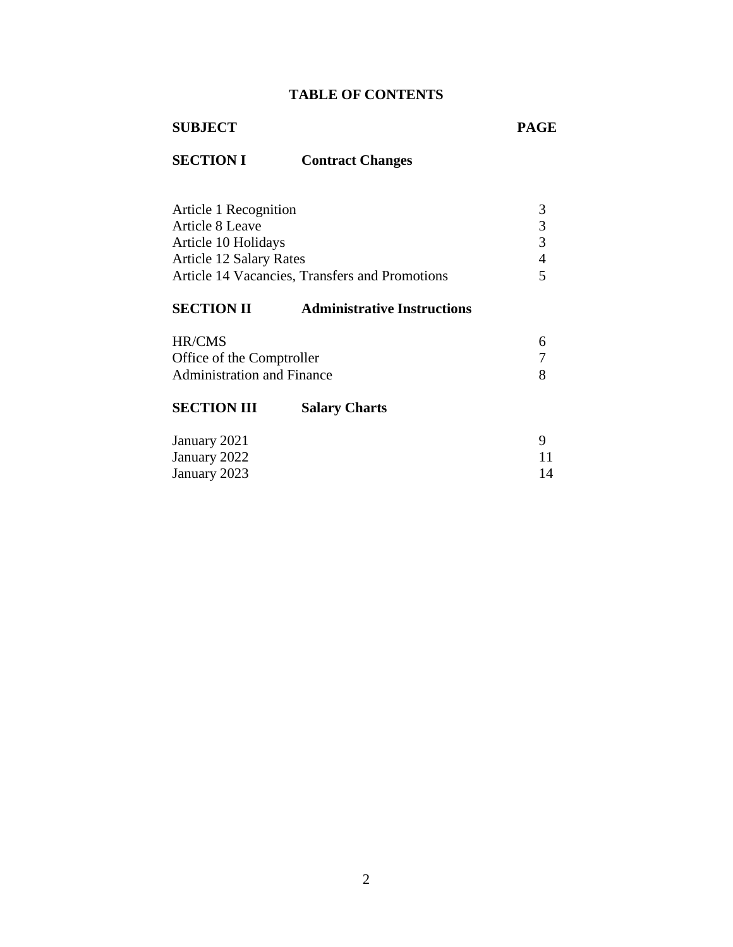# **TABLE OF CONTENTS**

# **SUBJECT PAGE**

# **SECTION I Contract Changes**

| Article 1 Recognition                          |  |
|------------------------------------------------|--|
| Article 8 Leave                                |  |
| Article 10 Holidays                            |  |
| <b>Article 12 Salary Rates</b>                 |  |
| Article 14 Vacancies, Transfers and Promotions |  |

# **SECTION II [Administrative](#page-5-0) Instructions**

| HR/CMS                            |  |
|-----------------------------------|--|
| Office of the Comptroller         |  |
| <b>Administration and Finance</b> |  |

# **[SECTION](#page-8-0) III Salary Charts**

| January 2021 |    |
|--------------|----|
| January 2022 |    |
| January 2023 | 14 |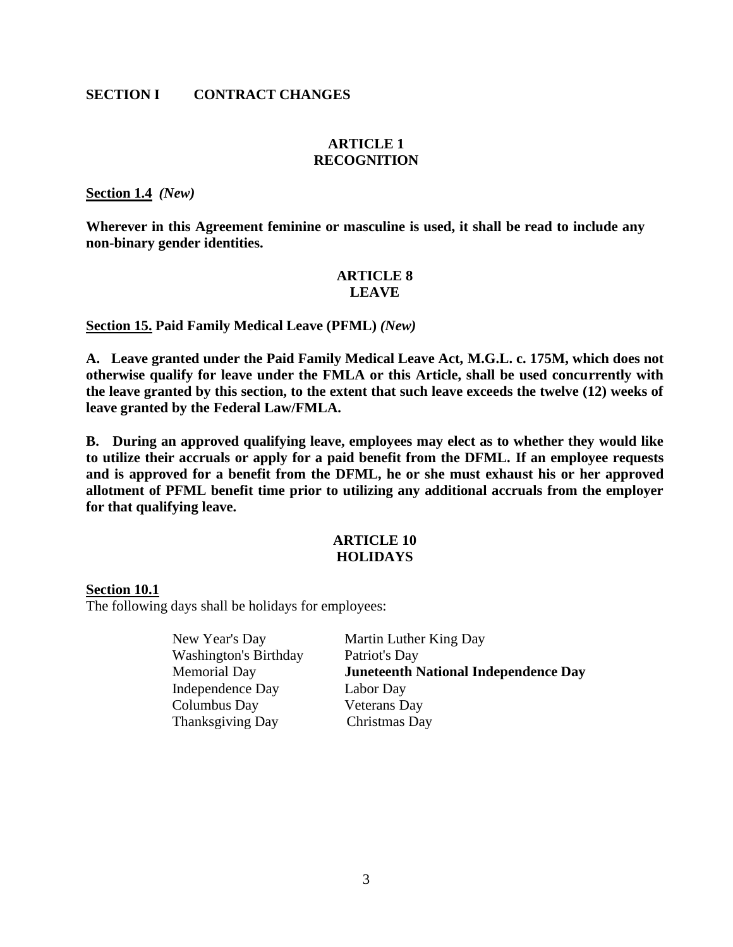#### <span id="page-2-0"></span>**SECTION I CONTRACT CHANGES**

#### **ARTICLE 1 RECOGNITION**

**Section 1.4** *(New)*

**Wherever in this Agreement feminine or masculine is used, it shall be read to include any non-binary gender identities.**

#### **ARTICLE 8 LEAVE**

**Section 15. Paid Family Medical Leave (PFML)** *(New)*

**A. Leave granted under the Paid Family Medical Leave Act, M.G.L. c. 175M, which does not otherwise qualify for leave under the FMLA or this Article, shall be used concurrently with the leave granted by this section, to the extent that such leave exceeds the twelve (12) weeks of leave granted by the Federal Law/FMLA.**

**B. During an approved qualifying leave, employees may elect as to whether they would like to utilize their accruals or apply for a paid benefit from the DFML. If an employee requests and is approved for a benefit from the DFML, he or she must exhaust his or her approved allotment of PFML benefit time prior to utilizing any additional accruals from the employer for that qualifying leave.**

#### **ARTICLE 10 HOLIDAYS**

#### <span id="page-2-1"></span>**Section 10.1**

The following days shall be holidays for employees:

| Martin Luther King Day                      |
|---------------------------------------------|
| Patriot's Day                               |
| <b>Juneteenth National Independence Day</b> |
| Labor Day                                   |
| <b>Veterans</b> Day                         |
| Christmas Day                               |
|                                             |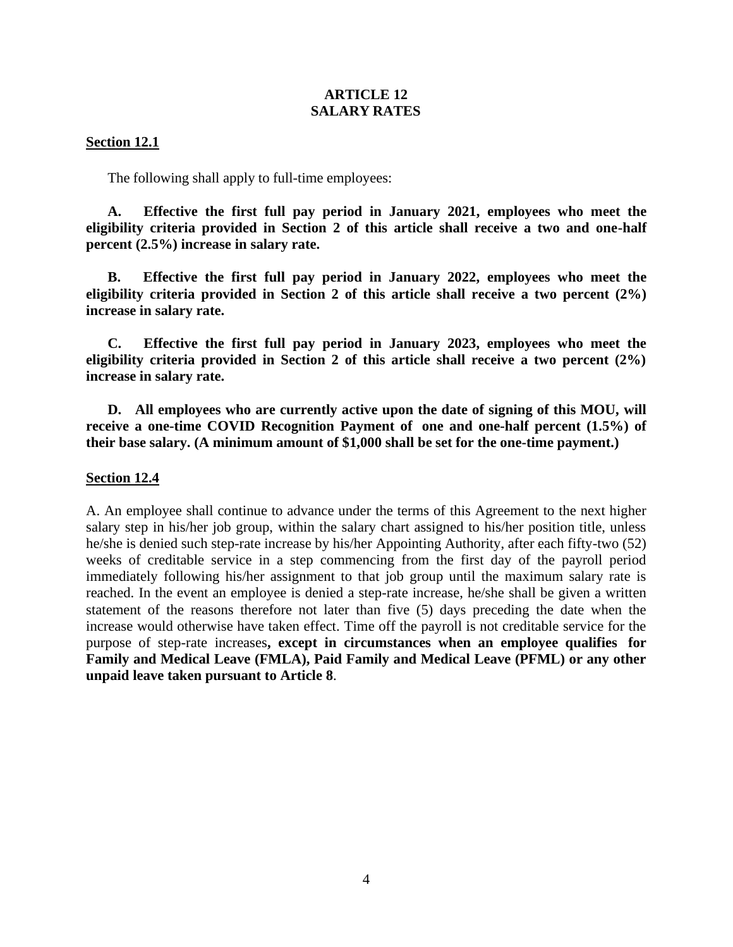#### **ARTICLE 12 SALARY RATES**

#### <span id="page-3-0"></span>**Section 12.1**

The following shall apply to full-time employees:

**A. Effective the first full pay period in January 2021, employees who meet the eligibility criteria provided in Section 2 of this article shall receive a two and one-half percent (2.5%) increase in salary rate.**

**B. Effective the first full pay period in January 2022, employees who meet the eligibility criteria provided in Section 2 of this article shall receive a two percent (2%) increase in salary rate.**

**C. Effective the first full pay period in January 2023, employees who meet the eligibility criteria provided in Section 2 of this article shall receive a two percent (2%) increase in salary rate.**

**D. All employees who are currently active upon the date of signing of this MOU, will receive a one-time COVID Recognition Payment of one and one-half percent (1.5%) of their base salary. (A minimum amount of \$1,000 shall be set for the one-time payment.)**

#### **Section 12.4**

A. An employee shall continue to advance under the terms of this Agreement to the next higher salary step in his/her job group, within the salary chart assigned to his/her position title, unless he/she is denied such step-rate increase by his/her Appointing Authority, after each fifty-two (52) weeks of creditable service in a step commencing from the first day of the payroll period immediately following his/her assignment to that job group until the maximum salary rate is reached. In the event an employee is denied a step-rate increase, he/she shall be given a written statement of the reasons therefore not later than five (5) days preceding the date when the increase would otherwise have taken effect. Time off the payroll is not creditable service for the purpose of step-rate increases**, except in circumstances when an employee qualifies for Family and Medical Leave (FMLA), Paid Family and Medical Leave (PFML) or any other unpaid leave taken pursuant to Article 8**.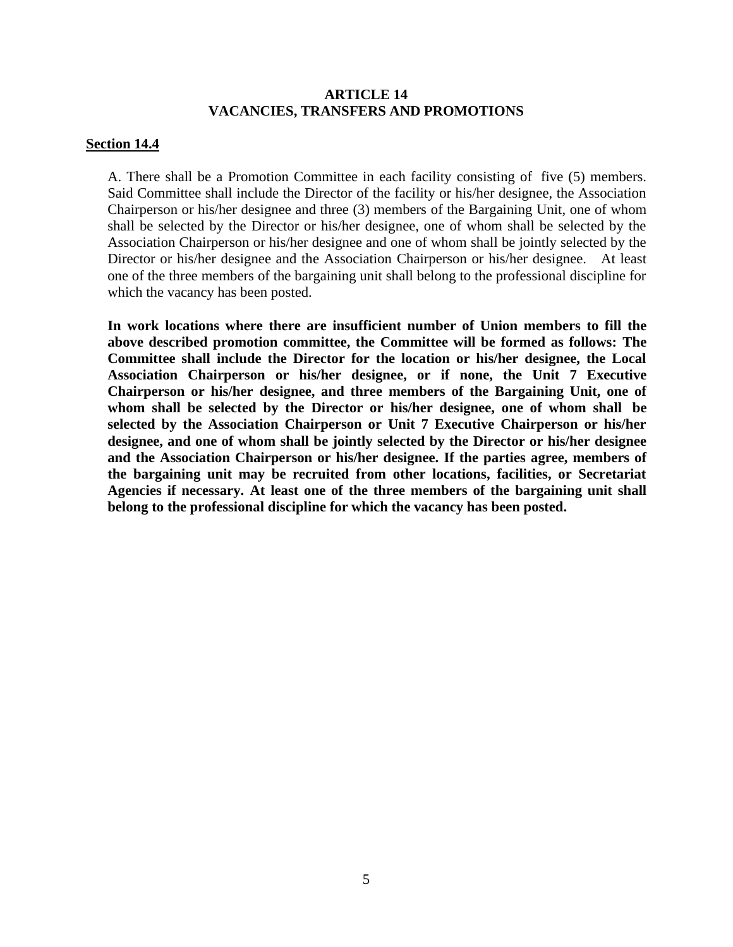#### **ARTICLE 14 VACANCIES, TRANSFERS AND PROMOTIONS**

#### **Section 14.4**

A. There shall be a Promotion Committee in each facility consisting of five (5) members. Said Committee shall include the Director of the facility or his/her designee, the Association Chairperson or his/her designee and three (3) members of the Bargaining Unit, one of whom shall be selected by the Director or his/her designee, one of whom shall be selected by the Association Chairperson or his/her designee and one of whom shall be jointly selected by the Director or his/her designee and the Association Chairperson or his/her designee. At least one of the three members of the bargaining unit shall belong to the professional discipline for which the vacancy has been posted.

**In work locations where there are insufficient number of Union members to fill the above described promotion committee, the Committee will be formed as follows: The Committee shall include the Director for the location or his/her designee, the Local Association Chairperson or his/her designee, or if none, the Unit 7 Executive Chairperson or his/her designee, and three members of the Bargaining Unit, one of whom shall be selected by the Director or his/her designee, one of whom shall be selected by the Association Chairperson or Unit 7 Executive Chairperson or his/her designee, and one of whom shall be jointly selected by the Director or his/her designee and the Association Chairperson or his/her designee. If the parties agree, members of the bargaining unit may be recruited from other locations, facilities, or Secretariat Agencies if necessary. At least one of the three members of the bargaining unit shall belong to the professional discipline for which the vacancy has been posted.**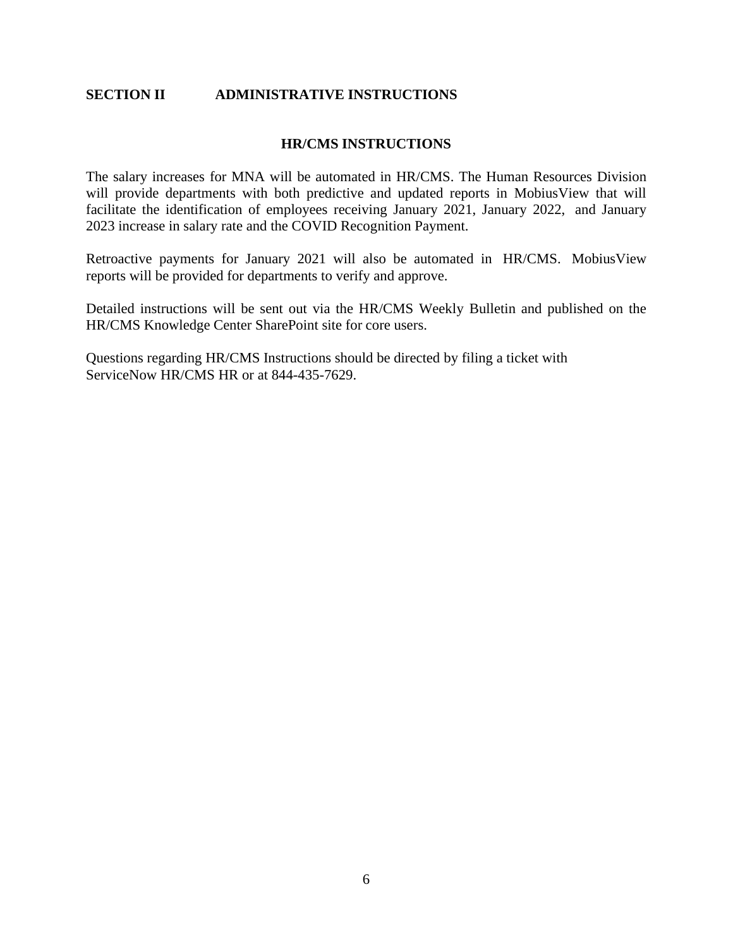#### <span id="page-5-0"></span>**SECTION II ADMINISTRATIVE INSTRUCTIONS**

#### **HR/CMS INSTRUCTIONS**

The salary increases for MNA will be automated in HR/CMS. The Human Resources Division will provide departments with both predictive and updated reports in MobiusView that will facilitate the identification of employees receiving January 2021, January 2022, and January 2023 increase in salary rate and the COVID Recognition Payment.

Retroactive payments for January 2021 will also be automated in HR/CMS. MobiusView reports will be provided for departments to verify and approve.

Detailed instructions will be sent out via the HR/CMS Weekly Bulletin and published on the HR/CMS Knowledge Center SharePoint site for core users.

Questions regarding HR/CMS Instructions should be directed by filing a ticket with ServiceNow HR/CMS HR or at 844-435-7629.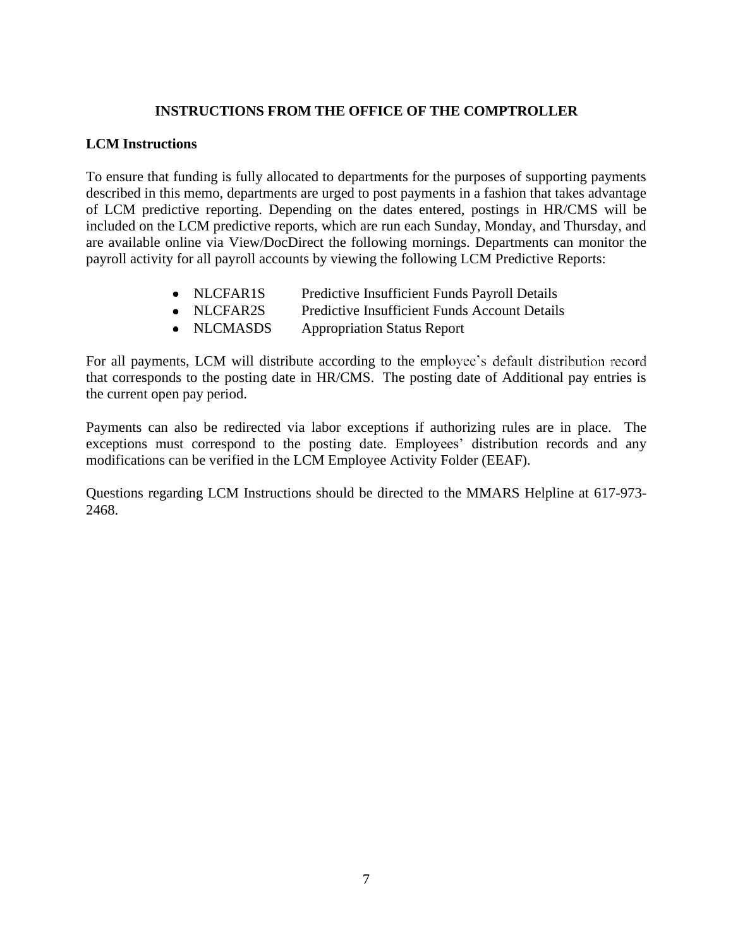# **INSTRUCTIONS FROM THE OFFICE OF THE COMPTROLLER**

#### **LCM Instructions**

To ensure that funding is fully allocated to departments for the purposes of supporting payments described in this memo, departments are urged to post payments in a fashion that takes advantage of LCM predictive reporting. Depending on the dates entered, postings in HR/CMS will be included on the LCM predictive reports, which are run each Sunday, Monday, and Thursday, and are available online via View/DocDirect the following mornings. Departments can monitor the payroll activity for all payroll accounts by viewing the following LCM Predictive Reports:

- NLCFAR1S Predictive Insufficient Funds Payroll Details
- NLCFAR2S Predictive Insufficient Funds Account Details
- NLCMASDS Appropriation Status Report

For all payments, LCM will distribute according to the employee's default distribution record that corresponds to the posting date in HR/CMS. The posting date of Additional pay entries is the current open pay period.

Payments can also be redirected via labor exceptions if authorizing rules are in place. The exceptions must correspond to the posting date. Employees' distribution records and any modifications can be verified in the LCM Employee Activity Folder (EEAF).

Questions regarding LCM Instructions should be directed to the MMARS Helpline at 617-973- 2468.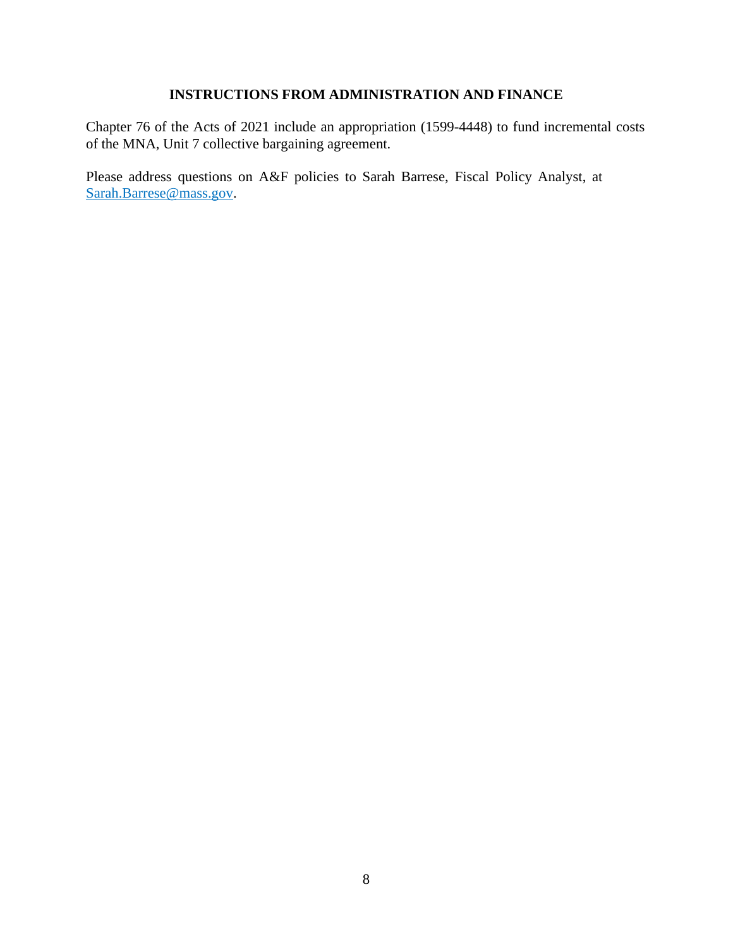# **INSTRUCTIONS FROM ADMINISTRATION AND FINANCE**

Chapter 76 of the Acts of 2021 include an appropriation (1599-4448) to fund incremental costs of the MNA, Unit 7 collective bargaining agreement.

Please address questions on A&F policies to Sarah Barrese, Fiscal Policy Analyst, at [Sarah.Barrese@mass.gov.](mailto:Sarah.Barrese@mass.gov)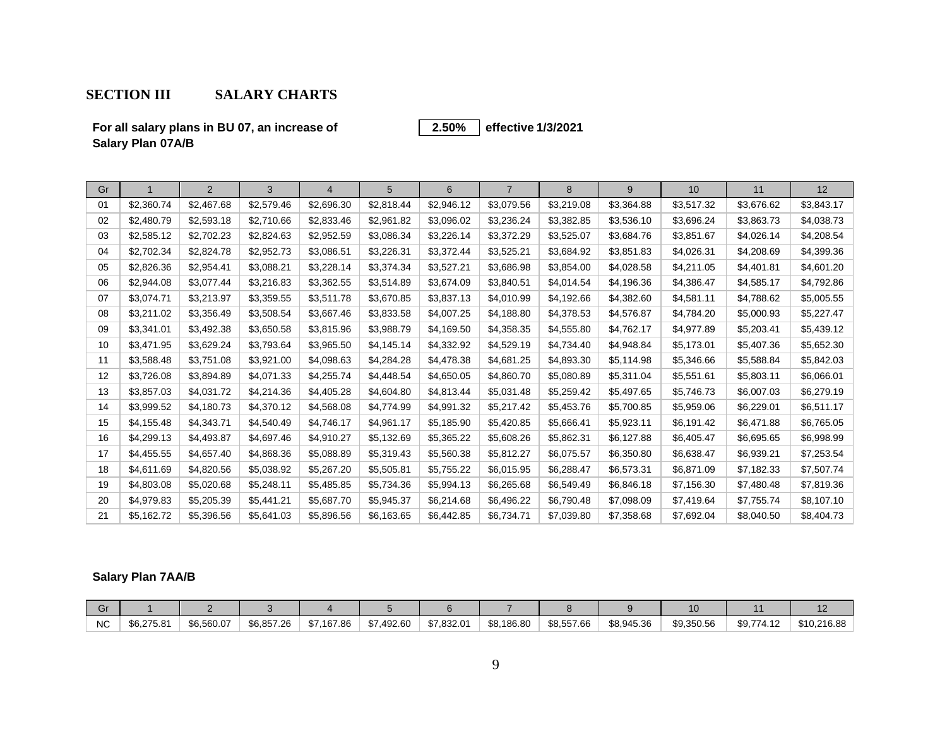# **SECTION III SALARY CHARTS**

**For all salary plans in BU 07, an increase of Salary Plan 07A/B**

#### **effective 1/3/2021 2.50%**

<span id="page-8-0"></span>

| Gr |            | 2          | 3          | 4          | 5          | 6          | $\overline{7}$ | 8          | 9          | 10         | 11         | 12         |
|----|------------|------------|------------|------------|------------|------------|----------------|------------|------------|------------|------------|------------|
| 01 | \$2,360.74 | \$2,467.68 | \$2,579.46 | \$2,696.30 | \$2,818.44 | \$2,946.12 | \$3,079.56     | \$3,219.08 | \$3,364.88 | \$3,517.32 | \$3,676.62 | \$3,843.17 |
| 02 | \$2,480.79 | \$2,593.18 | \$2,710.66 | \$2,833.46 | \$2,961.82 | \$3,096.02 | \$3,236.24     | \$3,382.85 | \$3,536.10 | \$3,696.24 | \$3,863.73 | \$4,038.73 |
| 03 | \$2,585.12 | \$2,702.23 | \$2,824.63 | \$2,952.59 | \$3,086.34 | \$3,226.14 | \$3,372.29     | \$3,525.07 | \$3,684.76 | \$3,851.67 | \$4,026.14 | \$4,208.54 |
| 04 | \$2,702.34 | \$2,824.78 | \$2,952.73 | \$3,086.51 | \$3,226.31 | \$3,372.44 | \$3,525.21     | \$3,684.92 | \$3,851.83 | \$4,026.31 | \$4,208.69 | \$4,399.36 |
| 05 | \$2,826.36 | \$2,954.41 | \$3,088.21 | \$3,228.14 | \$3,374.34 | \$3,527.21 | \$3,686.98     | \$3,854.00 | \$4,028.58 | \$4,211.05 | \$4,401.81 | \$4,601.20 |
| 06 | \$2,944.08 | \$3,077.44 | \$3,216.83 | \$3,362.55 | \$3,514.89 | \$3,674.09 | \$3,840.51     | \$4,014.54 | \$4,196.36 | \$4,386.47 | \$4,585.17 | \$4,792.86 |
| 07 | \$3,074.71 | \$3,213.97 | \$3,359.55 | \$3,511.78 | \$3,670.85 | \$3,837.13 | \$4,010.99     | \$4,192.66 | \$4,382.60 | \$4,581.11 | \$4,788.62 | \$5,005.55 |
| 08 | \$3,211.02 | \$3,356.49 | \$3.508.54 | \$3,667.46 | \$3,833.58 | \$4,007.25 | \$4,188.80     | \$4,378.53 | \$4,576.87 | \$4,784.20 | \$5,000.93 | \$5,227.47 |
| 09 | \$3,341.01 | \$3,492.38 | \$3,650.58 | \$3,815.96 | \$3,988.79 | \$4,169.50 | \$4,358.35     | \$4,555.80 | \$4,762.17 | \$4,977.89 | \$5,203.41 | \$5,439.12 |
| 10 | \$3,471.95 | \$3,629.24 | \$3,793.64 | \$3,965.50 | \$4,145.14 | \$4,332.92 | \$4,529.19     | \$4,734.40 | \$4,948.84 | \$5,173.01 | \$5,407.36 | \$5,652.30 |
| 11 | \$3,588.48 | \$3,751.08 | \$3,921.00 | \$4,098.63 | \$4,284.28 | \$4,478.38 | \$4,681.25     | \$4,893.30 | \$5,114.98 | \$5,346.66 | \$5,588.84 | \$5,842.03 |
| 12 | \$3,726.08 | \$3,894.89 | \$4,071.33 | \$4,255.74 | \$4,448.54 | \$4,650.05 | \$4,860.70     | \$5,080.89 | \$5,311.04 | \$5,551.61 | \$5,803.11 | \$6,066.01 |
| 13 | \$3,857.03 | \$4,031.72 | \$4,214.36 | \$4,405.28 | \$4,604.80 | \$4,813.44 | \$5,031.48     | \$5,259.42 | \$5,497.65 | \$5,746.73 | \$6,007.03 | \$6,279.19 |
| 14 | \$3,999.52 | \$4,180.73 | \$4.370.12 | \$4,568.08 | \$4,774.99 | \$4,991.32 | \$5,217.42     | \$5,453.76 | \$5,700.85 | \$5,959.06 | \$6,229.01 | \$6,511.17 |
| 15 | \$4,155.48 | \$4,343.71 | \$4,540.49 | \$4,746.17 | \$4,961.17 | \$5,185.90 | \$5,420.85     | \$5,666.41 | \$5,923.11 | \$6,191.42 | \$6,471.88 | \$6,765.05 |
| 16 | \$4,299.13 | \$4,493.87 | \$4,697.46 | \$4,910.27 | \$5,132.69 | \$5,365.22 | \$5,608.26     | \$5,862.31 | \$6,127.88 | \$6,405.47 | \$6,695.65 | \$6,998.99 |
| 17 | \$4,455.55 | \$4,657.40 | \$4,868.36 | \$5,088.89 | \$5,319.43 | \$5,560.38 | \$5,812.27     | \$6,075.57 | \$6,350.80 | \$6,638.47 | \$6,939.21 | \$7,253.54 |
| 18 | \$4,611.69 | \$4,820.56 | \$5,038.92 | \$5,267.20 | \$5,505.81 | \$5,755.22 | \$6,015.95     | \$6,288.47 | \$6,573.31 | \$6,871.09 | \$7,182.33 | \$7,507.74 |
| 19 | \$4,803.08 | \$5,020.68 | \$5,248.11 | \$5,485.85 | \$5,734.36 | \$5,994.13 | \$6,265.68     | \$6,549.49 | \$6,846.18 | \$7,156.30 | \$7,480.48 | \$7,819.36 |
| 20 | \$4,979.83 | \$5,205.39 | \$5,441.21 | \$5,687.70 | \$5,945.37 | \$6,214.68 | \$6,496.22     | \$6,790.48 | \$7,098.09 | \$7,419.64 | \$7,755.74 | \$8,107.10 |
| 21 | \$5,162.72 | \$5,396.56 | \$5.641.03 | \$5,896.56 | \$6.163.65 | \$6,442.85 | \$6,734.71     | \$7,039.80 | \$7,358.68 | \$7,692.04 | \$8,040.50 | \$8,404.73 |

# **Salary Plan 7AA/B**

| <b>NC</b> | \$6.275.81 | \$6,560.07 | \$6,857.26 | \$7.167.86 | .492.60<br>$\sim$<br>- 30 L | \$7,832.01 | \$8,186.80 | \$8,557.66 | \$8,945.36 | \$9,350.56 | 0077440<br>74.12<br>১৬., | \$10,216.88 |
|-----------|------------|------------|------------|------------|-----------------------------|------------|------------|------------|------------|------------|--------------------------|-------------|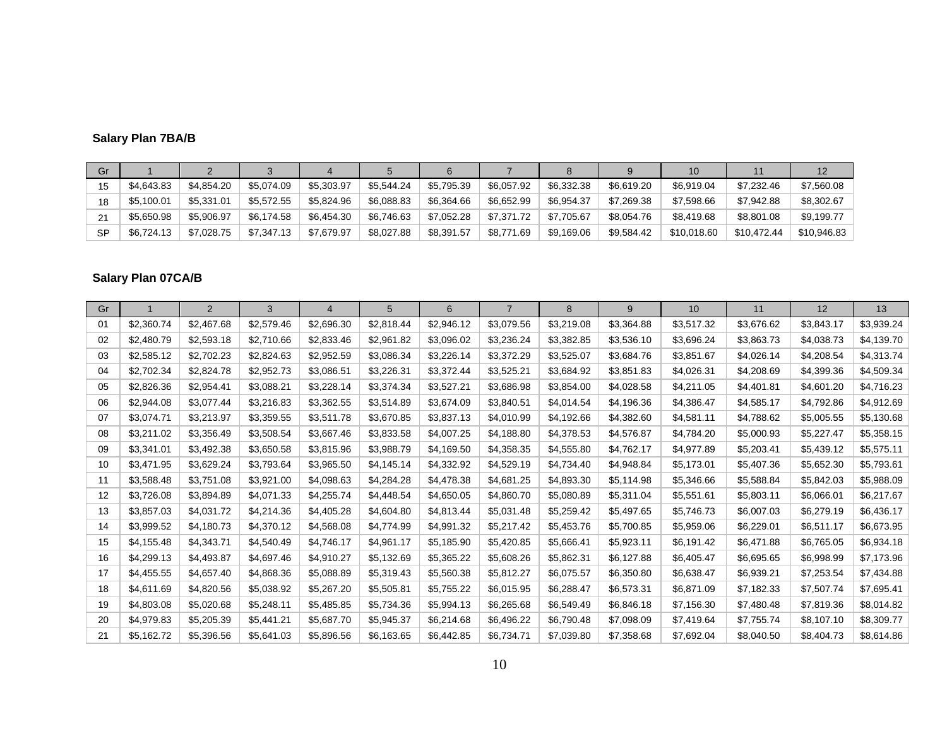# **Salary Plan 7BA/B**

| Gr        |            |            |            |            |            |            |            |            |            |             |             |             |
|-----------|------------|------------|------------|------------|------------|------------|------------|------------|------------|-------------|-------------|-------------|
| 15        | \$4,643.83 | \$4.854.20 | \$5.074.09 | \$5,303.97 | \$5,544.24 | \$5,795.39 | \$6,057.92 | \$6.332.38 | \$6,619.20 | \$6.919.04  | \$7,232,46  | \$7,560.08  |
| 18        | \$5,100.01 | \$5.331.01 | \$5,572.55 | \$5.824.96 | \$6,088,83 | \$6.364.66 | \$6.652.99 | \$6.954.37 | \$7.269.38 | \$7,598,66  | \$7.942.88  | \$8,302.67  |
| 21        | \$5.650.98 | \$5,906.97 | \$6,174.58 | \$6,454.30 | \$6,746.63 | \$7.052.28 | \$7,371.72 | \$7,705.67 | \$8,054.76 | \$8,419.68  | \$8,801.08  | \$9,199.77  |
| <b>SP</b> | \$6,724.13 | \$7,028.75 | \$7,347.13 | \$7,679.97 | \$8,027.88 | \$8,391.57 | \$8,771.69 | \$9,169.06 | \$9,584.42 | \$10,018.60 | \$10,472.44 | \$10,946.83 |

# **Salary Plan 07CA/B**

| Gr |            | 2          | 3          | 4          | 5          | 6          | $\overline{7}$ | 8          | 9          | 10         | 11         | 12         | 13         |
|----|------------|------------|------------|------------|------------|------------|----------------|------------|------------|------------|------------|------------|------------|
| 01 | \$2,360.74 | \$2,467.68 | \$2,579.46 | \$2,696.30 | \$2,818.44 | \$2,946.12 | \$3,079.56     | \$3,219.08 | \$3,364.88 | \$3,517.32 | \$3,676.62 | \$3,843.17 | \$3,939.24 |
| 02 | \$2,480.79 | \$2,593.18 | \$2,710.66 | \$2,833.46 | \$2,961.82 | \$3,096.02 | \$3,236.24     | \$3,382.85 | \$3,536.10 | \$3,696.24 | \$3,863.73 | \$4,038.73 | \$4,139.70 |
| 03 | \$2,585.12 | \$2,702.23 | \$2,824.63 | \$2,952.59 | \$3,086.34 | \$3,226.14 | \$3,372.29     | \$3,525.07 | \$3,684.76 | \$3,851.67 | \$4,026.14 | \$4,208.54 | \$4,313.74 |
| 04 | \$2,702.34 | \$2,824.78 | \$2,952.73 | \$3,086.51 | \$3,226.31 | \$3,372.44 | \$3,525.21     | \$3,684.92 | \$3,851.83 | \$4,026.31 | \$4,208.69 | \$4,399.36 | \$4,509.34 |
| 05 | \$2,826.36 | \$2,954.41 | \$3,088.21 | \$3,228.14 | \$3,374.34 | \$3,527.21 | \$3,686.98     | \$3,854.00 | \$4,028.58 | \$4,211.05 | \$4,401.81 | \$4,601.20 | \$4,716.23 |
| 06 | \$2,944.08 | \$3,077.44 | \$3,216.83 | \$3,362.55 | \$3,514.89 | \$3,674.09 | \$3,840.51     | \$4,014.54 | \$4,196.36 | \$4,386.47 | \$4,585.17 | \$4,792.86 | \$4,912.69 |
| 07 | \$3,074.71 | \$3,213.97 | \$3,359.55 | \$3,511.78 | \$3,670.85 | \$3,837.13 | \$4,010.99     | \$4,192.66 | \$4,382.60 | \$4,581.11 | \$4,788.62 | \$5,005.55 | \$5,130.68 |
| 08 | \$3,211.02 | \$3,356.49 | \$3,508.54 | \$3,667.46 | \$3,833.58 | \$4,007.25 | \$4,188.80     | \$4,378.53 | \$4,576.87 | \$4,784.20 | \$5,000.93 | \$5,227.47 | \$5,358.15 |
| 09 | \$3,341.01 | \$3,492.38 | \$3,650.58 | \$3,815.96 | \$3,988.79 | \$4,169.50 | \$4,358.35     | \$4,555.80 | \$4,762.17 | \$4,977.89 | \$5,203.41 | \$5,439.12 | \$5,575.11 |
| 10 | \$3,471.95 | \$3,629.24 | \$3,793.64 | \$3,965.50 | \$4,145.14 | \$4,332.92 | \$4,529.19     | \$4,734.40 | \$4,948.84 | \$5,173.01 | \$5,407.36 | \$5,652.30 | \$5,793.61 |
| 11 | \$3,588.48 | \$3,751.08 | \$3,921.00 | \$4,098.63 | \$4,284.28 | \$4,478.38 | \$4,681.25     | \$4,893.30 | \$5,114.98 | \$5,346.66 | \$5,588.84 | \$5,842.03 | \$5,988.09 |
| 12 | \$3,726.08 | \$3,894.89 | \$4,071.33 | \$4,255.74 | \$4,448.54 | \$4,650.05 | \$4,860.70     | \$5,080.89 | \$5,311.04 | \$5,551.61 | \$5,803.11 | \$6,066.01 | \$6,217.67 |
| 13 | \$3,857.03 | \$4,031.72 | \$4,214.36 | \$4,405.28 | \$4,604.80 | \$4,813.44 | \$5,031.48     | \$5,259.42 | \$5,497.65 | \$5,746.73 | \$6,007.03 | \$6,279.19 | \$6,436.17 |
| 14 | \$3,999.52 | \$4,180.73 | \$4,370.12 | \$4,568.08 | \$4,774.99 | \$4,991.32 | \$5,217.42     | \$5,453.76 | \$5,700.85 | \$5,959.06 | \$6,229.01 | \$6,511.17 | \$6,673.95 |
| 15 | \$4,155.48 | \$4,343.71 | \$4,540.49 | \$4,746.17 | \$4,961.17 | \$5,185.90 | \$5,420.85     | \$5,666.41 | \$5,923.11 | \$6,191.42 | \$6,471.88 | \$6,765.05 | \$6,934.18 |
| 16 | \$4,299.13 | \$4,493.87 | \$4,697.46 | \$4,910.27 | \$5,132.69 | \$5,365.22 | \$5,608.26     | \$5,862.31 | \$6,127.88 | \$6,405.47 | \$6,695.65 | \$6,998.99 | \$7,173.96 |
| 17 | \$4,455.55 | \$4,657.40 | \$4,868.36 | \$5,088.89 | \$5,319.43 | \$5,560.38 | \$5,812.27     | \$6,075.57 | \$6,350.80 | \$6,638.47 | \$6,939.21 | \$7,253.54 | \$7,434.88 |
| 18 | \$4,611.69 | \$4,820.56 | \$5,038.92 | \$5,267.20 | \$5,505.81 | \$5,755.22 | \$6,015.95     | \$6,288.47 | \$6,573.31 | \$6,871.09 | \$7,182.33 | \$7,507.74 | \$7,695.41 |
| 19 | \$4,803.08 | \$5,020.68 | \$5,248.11 | \$5,485.85 | \$5,734.36 | \$5,994.13 | \$6,265.68     | \$6,549.49 | \$6,846.18 | \$7,156.30 | \$7,480.48 | \$7,819.36 | \$8,014.82 |
| 20 | \$4,979.83 | \$5,205.39 | \$5,441.21 | \$5,687.70 | \$5,945.37 | \$6,214.68 | \$6,496.22     | \$6,790.48 | \$7,098.09 | \$7,419.64 | \$7,755.74 | \$8,107.10 | \$8,309.77 |
| 21 | \$5,162.72 | \$5,396.56 | \$5,641.03 | \$5,896.56 | \$6,163.65 | \$6,442.85 | \$6,734.71     | \$7,039.80 | \$7,358.68 | \$7,692.04 | \$8,040.50 | \$8,404.73 | \$8,614.86 |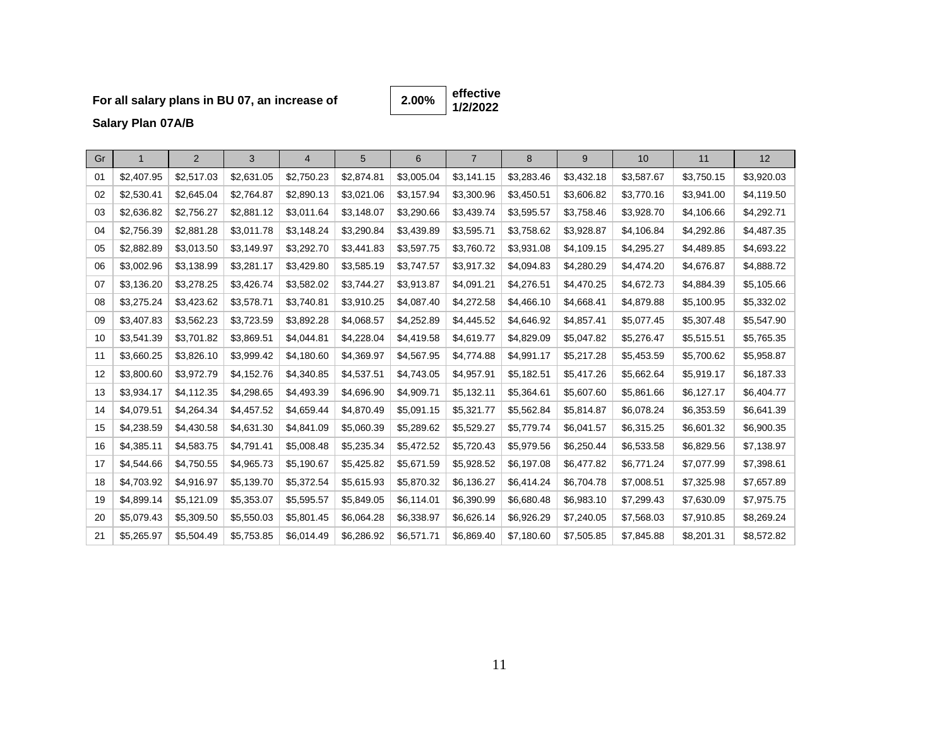# **For all salary plans in BU 07, an increase of**

**effective 1/2/2022 2.00%**

**Salary Plan 07A/B**

| Gr | $\mathbf{1}$ | 2          | 3          | 4          | 5          | 6          | $\overline{7}$ | 8          | 9          | 10         | 11         | 12         |
|----|--------------|------------|------------|------------|------------|------------|----------------|------------|------------|------------|------------|------------|
| 01 | \$2,407.95   | \$2,517.03 | \$2,631.05 | \$2,750.23 | \$2,874.81 | \$3,005.04 | \$3,141.15     | \$3,283.46 | \$3,432.18 | \$3,587.67 | \$3,750.15 | \$3,920.03 |
| 02 | \$2,530.41   | \$2,645.04 | \$2,764.87 | \$2,890.13 | \$3,021.06 | \$3,157.94 | \$3,300.96     | \$3,450.51 | \$3,606.82 | \$3,770.16 | \$3,941.00 | \$4,119.50 |
| 03 | \$2,636.82   | \$2,756.27 | \$2,881.12 | \$3,011.64 | \$3,148.07 | \$3,290.66 | \$3,439.74     | \$3,595.57 | \$3,758.46 | \$3,928.70 | \$4,106.66 | \$4,292.71 |
| 04 | \$2,756.39   | \$2,881.28 | \$3,011.78 | \$3,148.24 | \$3,290.84 | \$3,439.89 | \$3,595.71     | \$3,758.62 | \$3,928.87 | \$4,106.84 | \$4,292.86 | \$4,487.35 |
| 05 | \$2,882.89   | \$3,013.50 | \$3,149.97 | \$3,292.70 | \$3,441.83 | \$3,597.75 | \$3,760.72     | \$3,931.08 | \$4,109.15 | \$4,295.27 | \$4,489.85 | \$4,693.22 |
| 06 | \$3,002.96   | \$3,138.99 | \$3,281.17 | \$3,429.80 | \$3,585.19 | \$3,747.57 | \$3,917.32     | \$4,094.83 | \$4,280.29 | \$4,474.20 | \$4,676.87 | \$4,888.72 |
| 07 | \$3,136.20   | \$3,278.25 | \$3,426.74 | \$3,582.02 | \$3,744.27 | \$3,913.87 | \$4,091.21     | \$4,276.51 | \$4,470.25 | \$4,672.73 | \$4,884.39 | \$5,105.66 |
| 08 | \$3,275.24   | \$3,423.62 | \$3,578.71 | \$3,740.81 | \$3,910.25 | \$4,087.40 | \$4,272.58     | \$4,466.10 | \$4,668.41 | \$4,879.88 | \$5,100.95 | \$5,332.02 |
| 09 | \$3,407.83   | \$3,562.23 | \$3,723.59 | \$3,892.28 | \$4,068.57 | \$4,252.89 | \$4,445.52     | \$4,646.92 | \$4,857.41 | \$5,077.45 | \$5,307.48 | \$5,547.90 |
| 10 | \$3,541.39   | \$3,701.82 | \$3,869.51 | \$4,044.81 | \$4,228.04 | \$4,419.58 | \$4,619.77     | \$4,829.09 | \$5,047.82 | \$5,276.47 | \$5,515.51 | \$5,765.35 |
| 11 | \$3,660.25   | \$3,826.10 | \$3,999.42 | \$4,180.60 | \$4,369.97 | \$4,567.95 | \$4,774.88     | \$4,991.17 | \$5,217.28 | \$5,453.59 | \$5,700.62 | \$5,958.87 |
| 12 | \$3,800.60   | \$3,972.79 | \$4,152.76 | \$4,340.85 | \$4,537.51 | \$4,743.05 | \$4,957.91     | \$5,182.51 | \$5,417.26 | \$5,662.64 | \$5,919.17 | \$6,187.33 |
| 13 | \$3,934.17   | \$4,112.35 | \$4,298.65 | \$4,493.39 | \$4,696.90 | \$4,909.71 | \$5,132.11     | \$5,364.61 | \$5,607.60 | \$5,861.66 | \$6,127.17 | \$6,404.77 |
| 14 | \$4,079.51   | \$4,264.34 | \$4,457.52 | \$4,659.44 | \$4,870.49 | \$5,091.15 | \$5,321.77     | \$5,562.84 | \$5,814.87 | \$6,078.24 | \$6,353.59 | \$6,641.39 |
| 15 | \$4,238.59   | \$4,430.58 | \$4,631.30 | \$4,841.09 | \$5,060.39 | \$5,289.62 | \$5,529.27     | \$5,779.74 | \$6,041.57 | \$6,315.25 | \$6,601.32 | \$6,900.35 |
| 16 | \$4,385.11   | \$4,583.75 | \$4,791.41 | \$5,008.48 | \$5,235.34 | \$5,472.52 | \$5,720.43     | \$5,979.56 | \$6,250.44 | \$6,533.58 | \$6,829.56 | \$7,138.97 |
| 17 | \$4,544.66   | \$4,750.55 | \$4,965.73 | \$5,190.67 | \$5,425.82 | \$5,671.59 | \$5,928.52     | \$6,197.08 | \$6,477.82 | \$6,771.24 | \$7,077.99 | \$7,398.61 |
| 18 | \$4,703.92   | \$4,916.97 | \$5,139.70 | \$5,372.54 | \$5,615.93 | \$5,870.32 | \$6,136.27     | \$6,414.24 | \$6,704.78 | \$7,008.51 | \$7,325.98 | \$7,657.89 |
| 19 | \$4,899.14   | \$5,121.09 | \$5,353.07 | \$5,595.57 | \$5,849.05 | \$6,114.01 | \$6,390.99     | \$6,680.48 | \$6,983.10 | \$7,299.43 | \$7,630.09 | \$7,975.75 |
| 20 | \$5,079.43   | \$5,309.50 | \$5,550.03 | \$5,801.45 | \$6,064.28 | \$6,338.97 | \$6,626.14     | \$6,926.29 | \$7,240.05 | \$7,568.03 | \$7,910.85 | \$8,269.24 |
| 21 | \$5,265.97   | \$5,504.49 | \$5,753.85 | \$6,014.49 | \$6,286.92 | \$6,571.71 | \$6,869.40     | \$7,180.60 | \$7,505.85 | \$7,845.88 | \$8,201.31 | \$8,572.82 |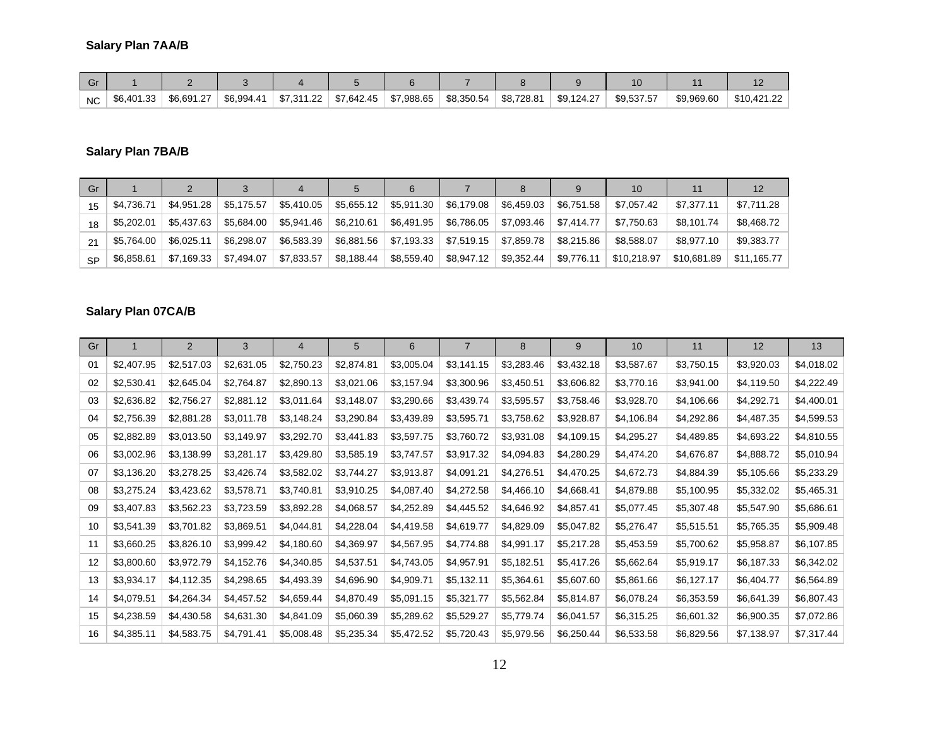# **Salary Plan 7AA/B**

| Gı        |            |            |            |            |            |            |            |            |            |            |            |             |
|-----------|------------|------------|------------|------------|------------|------------|------------|------------|------------|------------|------------|-------------|
| <b>NC</b> | \$6,401.33 | \$6.691.27 | \$6.994.41 | \$7.311.22 | \$7,642.45 | \$7.988.65 | \$8,350.54 | \$8.728.81 | \$9.124.27 | \$9.537.57 | \$9.969.60 | \$10,421.22 |

# **Salary Plan 7BA/B**

| Gr        |            |            |            |            |            |            |            |            |            |             |             |             |
|-----------|------------|------------|------------|------------|------------|------------|------------|------------|------------|-------------|-------------|-------------|
| 15        | \$4,736.71 | \$4.951.28 | \$5,175.57 | \$5,410.05 | \$5,655.12 | \$5,911.30 | \$6,179.08 | \$6,459.03 | \$6.751.58 | \$7.057.42  | \$7.377.11  | \$7,711.28  |
| 18        | \$5,202.01 | \$5,437.63 | \$5,684.00 | \$5,941.46 | \$6,210.61 | \$6,491.95 | \$6,786.05 | \$7,093.46 | \$7,414.77 | \$7,750.63  | \$8,101.74  | \$8,468.72  |
| 21        | \$5,764.00 | \$6.025.11 | \$6,298.07 | \$6,583.39 | \$6,881.56 | \$7,193.33 | \$7,519.15 | \$7,859.78 | \$8,215.86 | \$8.588.07  | \$8.977.10  | \$9,383.77  |
| <b>SP</b> | \$6,858.61 | \$7,169.33 | \$7.494.07 | \$7,833.57 | \$8,188.44 | \$8,559.40 | \$8,947.12 | \$9,352.44 | \$9,776.11 | \$10,218.97 | \$10,681.89 | \$11,165.77 |

# **Salary Plan 07CA/B**

| Gr |            | 2          | 3          | 4          | 5          | 6          | 7          | 8          | 9          | 10         | 11         | 12         | 13         |
|----|------------|------------|------------|------------|------------|------------|------------|------------|------------|------------|------------|------------|------------|
| 01 | \$2,407.95 | \$2,517.03 | \$2,631.05 | \$2,750.23 | \$2,874.81 | \$3,005.04 | \$3,141.15 | \$3,283.46 | \$3,432.18 | \$3,587.67 | \$3,750.15 | \$3,920.03 | \$4,018.02 |
| 02 | \$2,530.41 | \$2,645.04 | \$2,764.87 | \$2,890.13 | \$3,021.06 | \$3,157.94 | \$3,300.96 | \$3,450.51 | \$3,606.82 | \$3,770.16 | \$3,941.00 | \$4,119.50 | \$4,222.49 |
| 03 | \$2,636.82 | \$2,756.27 | \$2,881.12 | \$3,011.64 | \$3,148.07 | \$3,290.66 | \$3,439.74 | \$3,595.57 | \$3,758.46 | \$3,928.70 | \$4,106.66 | \$4,292.71 | \$4,400.01 |
| 04 | \$2,756.39 | \$2,881.28 | \$3,011.78 | \$3,148.24 | \$3,290.84 | \$3,439.89 | \$3,595.71 | \$3,758.62 | \$3,928.87 | \$4,106.84 | \$4,292.86 | \$4,487.35 | \$4,599.53 |
| 05 | \$2,882.89 | \$3,013.50 | \$3,149.97 | \$3,292.70 | \$3,441.83 | \$3,597.75 | \$3,760.72 | \$3,931.08 | \$4,109.15 | \$4,295.27 | \$4,489.85 | \$4,693.22 | \$4,810.55 |
| 06 | \$3,002.96 | \$3,138.99 | \$3,281.17 | \$3,429.80 | \$3,585.19 | \$3,747.57 | \$3,917.32 | \$4,094.83 | \$4,280.29 | \$4,474.20 | \$4,676.87 | \$4,888.72 | \$5,010.94 |
| 07 | \$3,136.20 | \$3,278.25 | \$3,426.74 | \$3,582.02 | \$3,744.27 | \$3,913.87 | \$4,091.21 | \$4,276.51 | \$4,470.25 | \$4,672.73 | \$4,884.39 | \$5,105.66 | \$5,233.29 |
| 08 | \$3,275.24 | \$3,423.62 | \$3,578.71 | \$3,740.81 | \$3,910.25 | \$4,087.40 | \$4,272.58 | \$4,466.10 | \$4,668.41 | \$4,879.88 | \$5,100.95 | \$5,332.02 | \$5,465.31 |
| 09 | \$3,407.83 | \$3,562.23 | \$3,723.59 | \$3,892.28 | \$4,068.57 | \$4,252.89 | \$4,445.52 | \$4,646.92 | \$4,857.41 | \$5,077.45 | \$5,307.48 | \$5,547.90 | \$5,686.61 |
| 10 | \$3,541.39 | \$3,701.82 | \$3,869.51 | \$4,044.81 | \$4,228.04 | \$4,419.58 | \$4,619.77 | \$4,829.09 | \$5,047.82 | \$5,276.47 | \$5,515.51 | \$5,765.35 | \$5,909.48 |
| 11 | \$3,660.25 | \$3,826.10 | \$3,999.42 | \$4,180.60 | \$4,369.97 | \$4,567.95 | \$4,774.88 | \$4,991.17 | \$5,217.28 | \$5,453.59 | \$5,700.62 | \$5,958.87 | \$6,107.85 |
| 12 | \$3,800.60 | \$3,972.79 | \$4,152.76 | \$4,340.85 | \$4,537.51 | \$4,743.05 | \$4,957.91 | \$5,182.51 | \$5,417.26 | \$5,662.64 | \$5,919.17 | \$6,187.33 | \$6,342.02 |
| 13 | \$3,934.17 | \$4,112.35 | \$4,298.65 | \$4,493.39 | \$4,696.90 | \$4,909.71 | \$5,132.11 | \$5,364.61 | \$5,607.60 | \$5,861.66 | \$6,127.17 | \$6,404.77 | \$6,564.89 |
| 14 | \$4,079.51 | \$4,264.34 | \$4,457.52 | \$4,659.44 | \$4,870.49 | \$5,091.15 | \$5,321.77 | \$5,562.84 | \$5,814.87 | \$6,078.24 | \$6,353.59 | \$6,641.39 | \$6,807.43 |
| 15 | \$4,238.59 | \$4,430.58 | \$4,631.30 | \$4,841.09 | \$5,060.39 | \$5,289.62 | \$5,529.27 | \$5,779.74 | \$6,041.57 | \$6,315.25 | \$6,601.32 | \$6,900.35 | \$7,072.86 |
| 16 | \$4,385.11 | \$4,583.75 | \$4,791.41 | \$5,008.48 | \$5,235.34 | \$5,472.52 | \$5,720.43 | \$5,979.56 | \$6,250.44 | \$6,533.58 | \$6,829.56 | \$7,138.97 | \$7,317.44 |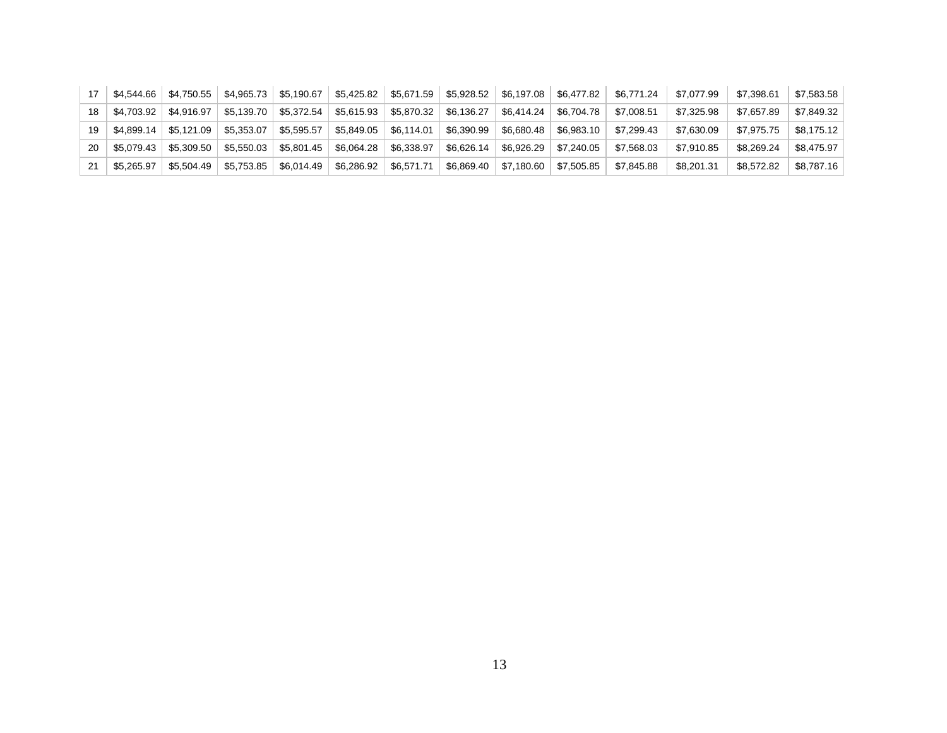| 17 | \$4.544.66 | \$4.750.55   | \$4,965.73 | \$5,190.67 |            |            | $$5,425.82$   \$5,671.59   \$5,928.52   \$6,197.08 |            | \$6,477.82 | \$6.771.24 | \$7.077.99 | \$7.398.61 | \$7,583.58 |
|----|------------|--------------|------------|------------|------------|------------|----------------------------------------------------|------------|------------|------------|------------|------------|------------|
| 18 | \$4.703.92 | \$4.916.97   | \$5,139.70 | \$5,372.54 | \$5,615.93 | \$5,870.32 | \$6,136.27                                         | \$6,414.24 | \$6.704.78 | \$7.008.51 | \$7,325.98 | \$7,657.89 | \$7,849.32 |
| 19 | \$4.899.14 | \$5.121.09 l | \$5,353.07 | \$5,595.57 | \$5,849.05 | \$6,114.01 | \$6,390.99                                         | \$6,680.48 | \$6,983.10 | \$7.299.43 | \$7.630.09 | \$7.975.75 | \$8.175.12 |
| 20 | \$5.079.43 | \$5,309.50   | \$5,550.03 | \$5,801.45 | \$6,064.28 | \$6,338.97 | \$6,626.14                                         | \$6,926.29 | \$7,240.05 | \$7,568.03 | \$7,910.85 | \$8,269.24 | \$8.475.97 |
| 21 | \$5.265.97 | \$5.504.49   | \$5,753.85 | \$6,014.49 | \$6,286.92 | \$6,571.71 | \$6,869.40                                         | \$7,180.60 | \$7,505.85 | \$7,845.88 | \$8,201.31 | \$8.572.82 | \$8,787.16 |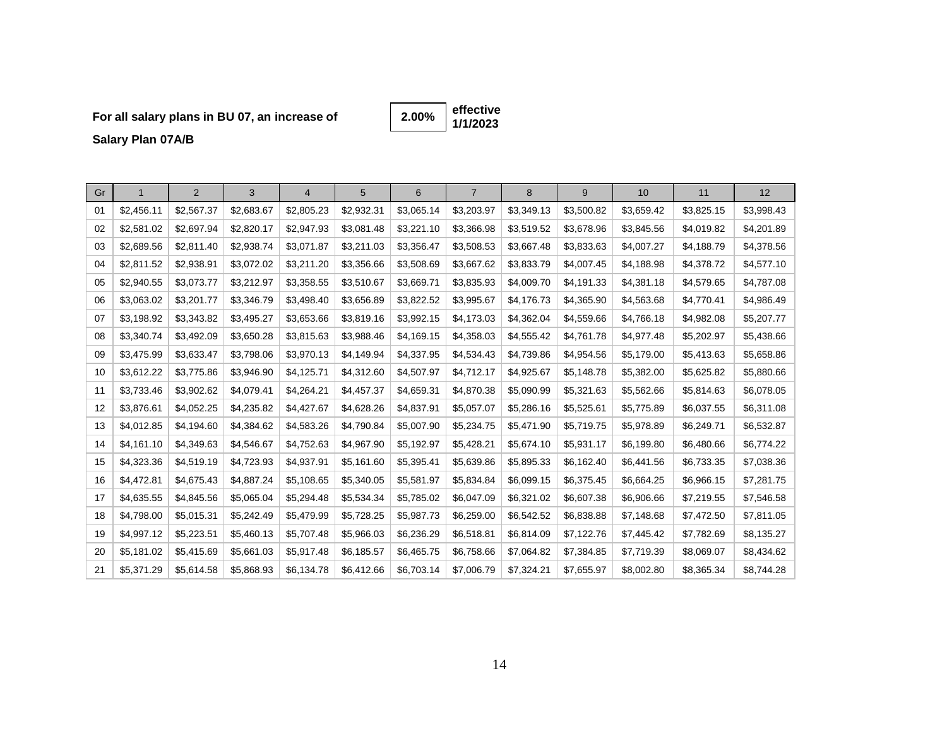# **For all salary plans in BU 07, an increase of**

**effective 1/1/2023 2.00%**

**Salary Plan 07A/B**

| Gr | $\mathbf{1}$ | 2          | 3          | $\overline{4}$ | 5          | 6          | $\overline{7}$ | 8          | 9          | 10         | 11         | 12         |
|----|--------------|------------|------------|----------------|------------|------------|----------------|------------|------------|------------|------------|------------|
| 01 | \$2,456.11   | \$2,567.37 | \$2,683.67 | \$2,805.23     | \$2,932.31 | \$3,065.14 | \$3,203.97     | \$3,349.13 | \$3,500.82 | \$3,659.42 | \$3,825.15 | \$3,998.43 |
| 02 | \$2,581.02   | \$2,697.94 | \$2,820.17 | \$2,947.93     | \$3,081.48 | \$3,221.10 | \$3,366.98     | \$3,519.52 | \$3,678.96 | \$3,845.56 | \$4,019.82 | \$4,201.89 |
| 03 | \$2,689.56   | \$2,811.40 | \$2,938.74 | \$3,071.87     | \$3,211.03 | \$3,356.47 | \$3,508.53     | \$3,667.48 | \$3,833.63 | \$4,007.27 | \$4,188.79 | \$4,378.56 |
| 04 | \$2,811.52   | \$2,938.91 | \$3,072.02 | \$3,211.20     | \$3,356.66 | \$3,508.69 | \$3,667.62     | \$3,833.79 | \$4,007.45 | \$4,188.98 | \$4,378.72 | \$4,577.10 |
| 05 | \$2,940.55   | \$3,073.77 | \$3,212.97 | \$3,358.55     | \$3,510.67 | \$3,669.71 | \$3,835.93     | \$4,009.70 | \$4,191.33 | \$4,381.18 | \$4,579.65 | \$4,787.08 |
| 06 | \$3,063.02   | \$3,201.77 | \$3,346.79 | \$3,498.40     | \$3,656.89 | \$3,822.52 | \$3,995.67     | \$4,176.73 | \$4,365.90 | \$4,563.68 | \$4,770.41 | \$4,986.49 |
| 07 | \$3,198.92   | \$3,343.82 | \$3,495.27 | \$3,653.66     | \$3,819.16 | \$3,992.15 | \$4,173.03     | \$4,362.04 | \$4,559.66 | \$4,766.18 | \$4,982.08 | \$5,207.77 |
| 08 | \$3,340.74   | \$3,492.09 | \$3,650.28 | \$3,815.63     | \$3,988.46 | \$4,169.15 | \$4,358.03     | \$4,555.42 | \$4,761.78 | \$4,977.48 | \$5,202.97 | \$5,438.66 |
| 09 | \$3,475.99   | \$3,633.47 | \$3,798.06 | \$3,970.13     | \$4,149.94 | \$4,337.95 | \$4,534.43     | \$4,739.86 | \$4,954.56 | \$5,179.00 | \$5,413.63 | \$5,658.86 |
| 10 | \$3,612.22   | \$3,775.86 | \$3,946.90 | \$4,125.71     | \$4,312.60 | \$4,507.97 | \$4,712.17     | \$4,925.67 | \$5,148.78 | \$5,382.00 | \$5,625.82 | \$5,880.66 |
| 11 | \$3,733.46   | \$3,902.62 | \$4,079.41 | \$4,264.21     | \$4,457.37 | \$4,659.31 | \$4,870.38     | \$5,090.99 | \$5,321.63 | \$5,562.66 | \$5,814.63 | \$6,078.05 |
| 12 | \$3,876.61   | \$4,052.25 | \$4,235.82 | \$4,427.67     | \$4,628.26 | \$4,837.91 | \$5,057.07     | \$5,286.16 | \$5,525.61 | \$5,775.89 | \$6,037.55 | \$6,311.08 |
| 13 | \$4,012.85   | \$4,194.60 | \$4,384.62 | \$4,583.26     | \$4,790.84 | \$5,007.90 | \$5,234.75     | \$5,471.90 | \$5,719.75 | \$5,978.89 | \$6,249.71 | \$6,532.87 |
| 14 | \$4,161.10   | \$4,349.63 | \$4,546.67 | \$4,752.63     | \$4,967.90 | \$5,192.97 | \$5,428.21     | \$5,674.10 | \$5,931.17 | \$6,199.80 | \$6,480.66 | \$6,774.22 |
| 15 | \$4,323.36   | \$4,519.19 | \$4,723.93 | \$4,937.91     | \$5,161.60 | \$5,395.41 | \$5,639.86     | \$5,895.33 | \$6,162.40 | \$6,441.56 | \$6,733.35 | \$7,038.36 |
| 16 | \$4,472.81   | \$4,675.43 | \$4,887.24 | \$5,108.65     | \$5,340.05 | \$5,581.97 | \$5,834.84     | \$6,099.15 | \$6,375.45 | \$6,664.25 | \$6,966.15 | \$7,281.75 |
| 17 | \$4,635.55   | \$4,845.56 | \$5,065.04 | \$5,294.48     | \$5,534.34 | \$5,785.02 | \$6,047.09     | \$6,321.02 | \$6,607.38 | \$6,906.66 | \$7,219.55 | \$7,546.58 |
| 18 | \$4,798.00   | \$5,015.31 | \$5,242.49 | \$5,479.99     | \$5,728.25 | \$5,987.73 | \$6,259.00     | \$6,542.52 | \$6,838.88 | \$7,148.68 | \$7,472.50 | \$7,811.05 |
| 19 | \$4,997.12   | \$5,223.51 | \$5,460.13 | \$5,707.48     | \$5,966.03 | \$6,236.29 | \$6,518.81     | \$6,814.09 | \$7,122.76 | \$7,445.42 | \$7,782.69 | \$8,135.27 |
| 20 | \$5,181.02   | \$5,415.69 | \$5,661.03 | \$5,917.48     | \$6,185.57 | \$6,465.75 | \$6,758.66     | \$7,064.82 | \$7,384.85 | \$7,719.39 | \$8,069.07 | \$8,434.62 |
| 21 | \$5,371.29   | \$5,614.58 | \$5,868.93 | \$6,134.78     | \$6,412.66 | \$6,703.14 | \$7,006.79     | \$7,324.21 | \$7,655.97 | \$8,002.80 | \$8,365.34 | \$8,744.28 |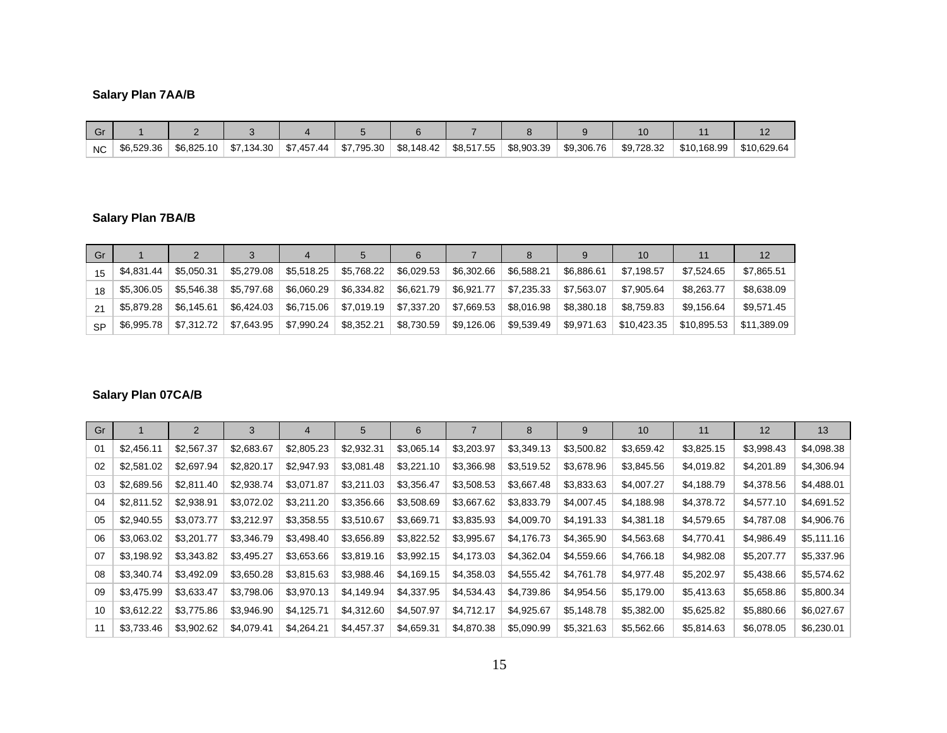# **Salary Plan 7AA/B**

| וט  |            |            |            |            |              |            |            |            |            |            |             |             |
|-----|------------|------------|------------|------------|--------------|------------|------------|------------|------------|------------|-------------|-------------|
| NC. | \$6,529.36 | \$6.825.10 | \$7.134.30 | \$7,457.44 | \$7,795.30 ∣ | \$8,148.42 | \$8,517.55 | \$8.903.39 | \$9.306.76 | \$9.728.32 | \$10,168.99 | \$10,629.64 |

# **Salary Plan 7BA/B**

| Gr        |            |            |            |            |            |            |            |            |            | 10          |             | 12          |
|-----------|------------|------------|------------|------------|------------|------------|------------|------------|------------|-------------|-------------|-------------|
| 15        | \$4,831.44 | \$5.050.31 | \$5,279.08 | \$5,518.25 | \$5,768.22 | \$6,029.53 | \$6,302.66 | \$6.588.21 | \$6.886.61 | \$7.198.57  | \$7.524.65  | \$7,865.51  |
| 18        | \$5,306.05 | \$5.546.38 | \$5.797.68 | \$6,060.29 | \$6,334.82 | \$6,621.79 | \$6,921.77 | \$7,235.33 | \$7,563.07 | \$7,905.64  | \$8,263.77  | \$8,638.09  |
| 21        | \$5,879.28 | \$6.145.61 | \$6,424.03 | \$6,715.06 | \$7,019.19 | \$7,337.20 | \$7,669.53 | \$8,016.98 | \$8.380.18 | \$8.759.83  | \$9,156.64  | \$9,571.45  |
| <b>SP</b> | \$6,995.78 | \$7,312.72 | \$7,643.95 | \$7,990.24 | \$8,352.21 | \$8,730.59 | \$9,126.06 | \$9,539.49 | \$9,971.63 | \$10,423.35 | \$10,895.53 | \$11.389.09 |

# **Salary Plan 07CA/B**

| Gr |            | 2          | 3          | 4          | 5          | 6          |            | 8          | 9          | 10         | 11         | 12         | 13         |
|----|------------|------------|------------|------------|------------|------------|------------|------------|------------|------------|------------|------------|------------|
| 01 | \$2,456.11 | \$2,567.37 | \$2,683.67 | \$2,805.23 | \$2,932.31 | \$3,065.14 | \$3,203.97 | \$3,349.13 | \$3,500.82 | \$3,659.42 | \$3,825.15 | \$3,998.43 | \$4,098.38 |
| 02 | \$2,581.02 | \$2,697.94 | \$2,820.17 | \$2,947.93 | \$3,081.48 | \$3,221.10 | \$3,366.98 | \$3,519.52 | \$3,678.96 | \$3,845.56 | \$4,019.82 | \$4,201.89 | \$4,306.94 |
| 03 | \$2,689.56 | \$2,811.40 | \$2,938.74 | \$3,071.87 | \$3,211.03 | \$3,356.47 | \$3,508.53 | \$3,667.48 | \$3,833.63 | \$4,007.27 | \$4,188.79 | \$4,378.56 | \$4,488.01 |
| 04 | \$2,811.52 | \$2,938.91 | \$3,072.02 | \$3,211.20 | \$3,356.66 | \$3,508.69 | \$3,667.62 | \$3,833.79 | \$4,007.45 | \$4,188.98 | \$4,378.72 | \$4,577.10 | \$4,691.52 |
| 05 | \$2,940.55 | \$3,073.77 | \$3,212.97 | \$3,358.55 | \$3,510.67 | \$3,669.71 | \$3,835.93 | \$4,009.70 | \$4,191.33 | \$4,381.18 | \$4,579.65 | \$4,787.08 | \$4,906.76 |
| 06 | \$3,063.02 | \$3,201.77 | \$3,346.79 | \$3,498.40 | \$3,656.89 | \$3,822.52 | \$3,995.67 | \$4,176.73 | \$4,365.90 | \$4,563.68 | \$4,770.41 | \$4,986.49 | \$5,111.16 |
| 07 | \$3,198.92 | \$3,343.82 | \$3,495.27 | \$3,653.66 | \$3,819.16 | \$3,992.15 | \$4,173.03 | \$4,362.04 | \$4,559.66 | \$4,766.18 | \$4,982.08 | \$5,207.77 | \$5,337.96 |
| 08 | \$3,340.74 | \$3,492.09 | \$3,650.28 | \$3,815.63 | \$3,988.46 | \$4,169.15 | \$4,358.03 | \$4,555.42 | \$4,761.78 | \$4,977.48 | \$5,202.97 | \$5,438.66 | \$5,574.62 |
| 09 | \$3,475.99 | \$3,633.47 | \$3,798.06 | \$3,970.13 | \$4,149.94 | \$4,337.95 | \$4,534.43 | \$4,739.86 | \$4,954.56 | \$5,179.00 | \$5,413.63 | \$5,658.86 | \$5,800.34 |
| 10 | \$3,612.22 | \$3,775.86 | \$3,946.90 | \$4,125.71 | \$4,312.60 | \$4,507.97 | \$4,712.17 | \$4,925.67 | \$5,148.78 | \$5,382.00 | \$5,625.82 | \$5,880.66 | \$6,027.67 |
| 11 | \$3,733.46 | \$3,902.62 | \$4,079.41 | \$4,264.21 | \$4,457.37 | \$4,659.31 | \$4,870.38 | \$5,090.99 | \$5,321.63 | \$5,562.66 | \$5,814.63 | \$6,078.05 | \$6,230.01 |